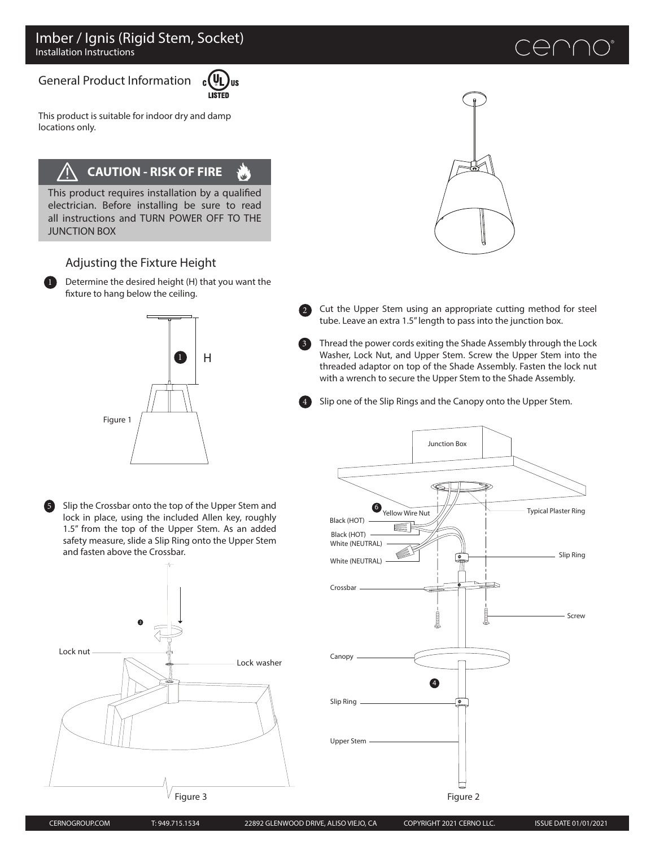### General Product Information



This product is suitable for indoor dry and damp locations only.

## **CAUTION - RISK OF FIRE**

ີຟ This product requires installation by a qualified

electrician. Before installing be sure to read all instructions and TURN POWER OFF TO THE JUNCTION BOX

### Adjusting the Fixture Height

Determine the desired height (H) that you want the fixture to hang below the ceiling.  $\bf{u}$ 



Slip the Crossbar onto the top of the Upper Stem and lock in place, using the included Allen key, roughly 1.5" from the top of the Upper Stem. As an added safety measure, slide a Slip Ring onto the Upper Stem and fasten above the Crossbar.





Cut the Upper Stem using an appropriate cutting method for steel tube. Leave an extra 1.5" length to pass into the junction box.

Thread the power cords exiting the Shade Assembly through the Lock Washer, Lock Nut, and Upper Stem. Screw the Upper Stem into the threaded adaptor on top of the Shade Assembly. Fasten the lock nut with a wrench to secure the Upper Stem to the Shade Assembly.

Slip one of the Slip Rings and the Canopy onto the Upper Stem.



5

3

4

2